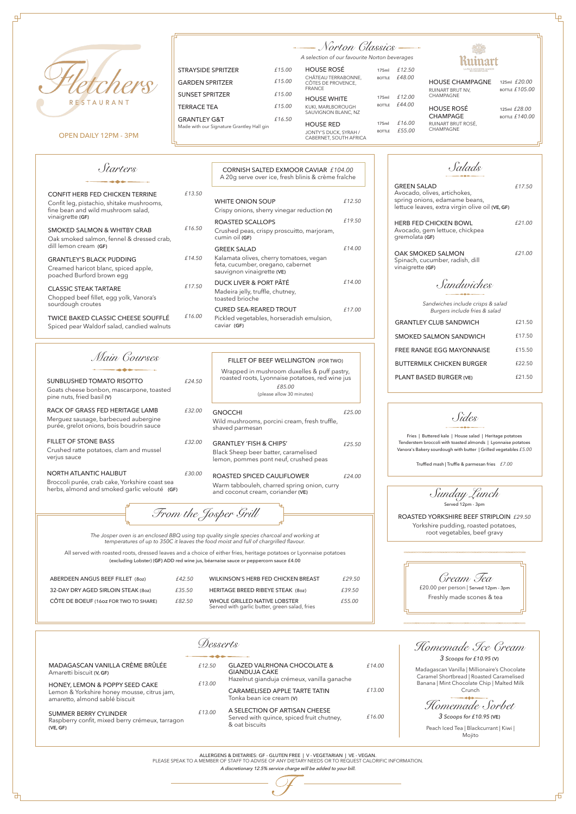*Salads* GREEN SALAD Avocado, olives, artichokes, spring onions, edamame beans, lettuce leaves, extra virgin olive oil **(VE, GF)** HERB FED CHICKEN BOWL Avocado, gem lettuce, chickpea

inart

gremolata **(GF)**

OAK SMOKED SALMON Spinach, cucumber, radish, dill vinaigrette **(GF)** *£21.00*

*£17.50*

Ļρ

*£21.00*



OPEN DAILY 12PM - 3PM

*Sandwiches*

*Sandwiches include crisps & salad Burgers include fries & salad*

*Main Courses*



*From the Josper Grill*

# *Norton Classics*

*A selection of our favourite Norton beverages*

*Sunday Lunch* Served 12pm - 3pm

ROASTED YORKSHIRE BEEF STRIPLOIN *£29.50* Yorkshire pudding, roasted potatoes, root vegetables, beef gravy

*Sides*

*Cream Tea* £20.00 per person | Served 12pm - 3pm Freshly made scones & tea

*Starters*

| £21.50 |
|--------|
| £17.50 |
| £15.50 |
| £22.50 |
| £21.50 |
|        |

Fries | Buttered kale | House salad | Heritage potatoes Tenderstem broccoli with toasted almonds | Lyonnaise potatoes Vanora's Bakery sourdough with butter | Grilled vegetables *£5.00*

Truffled mash | Truffle & parmesan fries *£7.00*

| SUNBLUSHED TOMATO RISOTTO<br>Goats cheese bonbon, mascarpone, toasted<br>pine nuts, fried basil (V)                      | £24.50 | Wrapped<br>roasted re                               |
|--------------------------------------------------------------------------------------------------------------------------|--------|-----------------------------------------------------|
| RACK OF GRASS FED HERITAGE LAMB<br>Merguez sausage, barbecued aubergine<br>purée, grelot onions, bois boudrin sauce      | £32.00 | <b>GNOCCHI</b><br>Wild mushro<br>shaved parr        |
| <b>FILLET OF STONE BASS</b><br>Crushed ratte potatoes, clam and mussel<br>verjus sauce                                   | £32.00 | <b>GRANTLEY</b><br><b>Black Sheep</b><br>lemon, pom |
| NORTH ATLANTIC HALIBUT<br>Broccoli purée, crab cake, Yorkshire coast sea<br>herbs, almond and smoked garlic velouté (GF) | £30.00 | <b>ROASTED S</b><br>Warm tabbo<br>and coconu        |

| £32.00 | <b>GNOCCHI</b><br>Wild mushrooms, porcini cream, fresh truffle,<br>shaved parmesan                                  | £25.00 |
|--------|---------------------------------------------------------------------------------------------------------------------|--------|
| £32.00 | <b>GRANTLEY 'FISH &amp; CHIPS'</b><br>Black Sheep beer batter, caramelised<br>lemon, pommes pont neuf, crushed peas | £25.50 |
| £30.00 | ROASTED SPICED CAULIFLOWER<br>Warm tabbouleh, charred spring onion, curry                                           | £24.00 |

and coconut cream, coriander **(VE)**

|        | CORNISH SALTED FXMOOR CAVIAR £104.00                                                                                             |        |
|--------|----------------------------------------------------------------------------------------------------------------------------------|--------|
|        | A 20g serve over ice, fresh blinis & crème fraîche                                                                               |        |
| £13.50 | <b>WHITE ONION SOUP</b><br>Crispy onions, sherry vinegar reduction (V)                                                           | £12.50 |
| £16.50 | ROASTED SCALLOPS<br>Crushed peas, crispy proscuitto, marjoram,<br>cumin oil (GF)                                                 | £19.50 |
| f14.50 | <b>GREEK SALAD</b><br>Kalamata olives, cherry tomatoes, vegan<br>feta, cucumber, oregano, cabernet<br>sauvignon vinaigrette (VE) | f14.00 |
| f17.50 | DUCK LIVER & PORT PÂTÉ<br>Madeira jelly, truffle, chutney,<br>toasted brioche                                                    | £14.00 |
| f16.00 | <b>CURED SEA-REARED TROUT</b><br>Pickled vegetables, horseradish emulsion,<br>caviar (GF)                                        | £17.00 |

| STRAYSIDE SPRITZER                                                    | f 15.00 |
|-----------------------------------------------------------------------|---------|
| <b>GARDEN SPRITZER</b>                                                | f 15.00 |
| SUNSET SPRITZER                                                       | f 15.00 |
| TFRRACF TFA                                                           | f 15.00 |
| <b>GRANTI FY G&amp;T</b><br>Made with our Signature Grantley Hall gin | f 16.50 |
|                                                                       |         |

|  | FILLET OF BEEF WELLINGTON (FOR TWO) |  |
|--|-------------------------------------|--|
|  |                                     |  |

*£85.00* d in mushroom duxelles & puff pastry, oots, Lyonnaise potatoes, red wine jus (please allow 30 minutes)

*The Josper oven is an enclosed BBQ using top quality single species charcoal and working at temperatures of up to 350C it leaves the food moist and full of chargrilled flavour.*

All served with roasted roots, dressed leaves and a choice of either fries, heritage potatoes or Lyonnaise potatoes (excluding Lobster) (**GF)** ADD red wine jus, béarnaise sauce or peppercorn sauce £4.00

| ABERDEEN ANGUS BEEF FILLET (80z)      | £42.50 | WILKINSON'S HERB FED CHICKEN BREAST                                           | £29.50 |
|---------------------------------------|--------|-------------------------------------------------------------------------------|--------|
| 32-DAY DRY AGED SIRLOIN STEAK (80z)   | £35.50 | HERITAGE BREED RIBEYE STEAK (80z)                                             | £39.50 |
| CÔTE DE BOEUF (1602 FOR TWO TO SHARE) | £82.50 | WHOLE GRILLED NATIVE LOBSTER<br>Served with garlic butter, green salad, fries | £55.00 |

*Homemade Ice Cream 3 Scoops for £10.95* **(V)**

*Homemade Sorbet*

*3 Scoops for £10.95* **(VE)**

MADAGASCAN VANILLA CRÈME BRÛLÉE Amaretti biscuit **(V, GF)**

HONEY, LEMON & POPPY SEED CAKE Lemon & Yorkshire honey mousse, citrus jam, amaretto, almond sablé biscuit

SUMMER BERRY CYLINDER Raspberry confit, mixed berry crémeux, tarragon **(VE, GF)**

*£12.50* GLAZED VALRHONA CHOCOLATE & GIANDUJA CAKE Hazelnut gianduja crémeux, vanilla ganache CARAMELISED APPLE TARTE TATIN Tonka bean ice cream **(V)** A SELECTION OF ARTISAN CHEESE *£14.00 £13.00 £13.00 £13.00*

Served with quince, spiced fruit chutney, & oat biscuits *£16.00* Madagascan Vanilla | Millionaire's Chocolate Caramel Shortbread | Roasted Caramelised Banana | Mint Chocolate Chip | Malted Milk Crunch

> Peach Iced Tea | Blackcurrant | Kiwi | Mojito

| <b>CONFIT HERB FED CHICKEN TERRINE</b><br>Confit leg, pistachio, shitake mushrooms,<br>fine bean and wild mushroom salad,<br>vinaigrette (GF) | £13.5 |
|-----------------------------------------------------------------------------------------------------------------------------------------------|-------|
| SMOKED SAI MON & WHITBY CRAB<br>Oak smoked salmon, fennel & dressed crab,<br>dill lemon cream (GF)                                            | £16.5 |
| <b>GRANTLEY'S BLACK PUDDING</b><br>Creamed haricot blanc, spiced apple,<br>poached Burford brown egg                                          | £14.5 |
| <b>CLASSIC STEAK TARTARE</b><br>Chopped beef fillet, egg yolk, Vanora's<br>sourdough croutes                                                  | £17.5 |

TWICE BAKED CLASSIC CHEESE SOUFFLÉ Spiced pear Waldorf salad, candied walnuts

| <b>HOUSE ROSÉ</b>                                                   | 175ml                  | £12.50           | PLUS ANCIENNE MAISON<br><b>DE CHAMPAGNE</b> |                                       |
|---------------------------------------------------------------------|------------------------|------------------|---------------------------------------------|---------------------------------------|
| CHÂTEAU TERRABONNE,<br>CÔTES DE PROVENCE,<br><b>FRANCE</b>          | <b>BOTTLE</b>          | £48.00           | <b>HOUSE CHAMPAGNE</b><br>RUINART BRUT NV,  | 125ml £20.00<br><b>BOTTLE £105.00</b> |
| <b>HOUSE WHITE</b>                                                  | 175ml                  | £12.00           | CHAMPAGNE                                   |                                       |
| KUKI, MARLBOROUGH<br>SAUVIGNON BLANC, NZ                            | <b>BOTTLE</b>          | £44.00           | <b>HOUSE ROSÉ</b><br><b>CHAMPAGE</b>        | 125ml £28.00<br>BOTTLE $£140.00$      |
| <b>HOUSE RED</b><br>JONTY'S DUCK, SYRAH /<br>CABERNET, SOUTH AFRICA | 175ml<br><b>BOTTLE</b> | £16.00<br>£55.00 | RUINART BRUT ROSÉ,<br>CHAMPAGNE             |                                       |

ALLERGENS & DIETARIES: GF - GLUTEN FREE | V - VEGETARIAN | VE - VEGAN. PLEASE SPEAK TO A MEMBER OF STAFF TO ADVISE OF ANY DIETARY NEEDS OR TO REQUEST CALORIFIC INFORMATION.

A discretionary 12.5% service charge will be added to your bill.